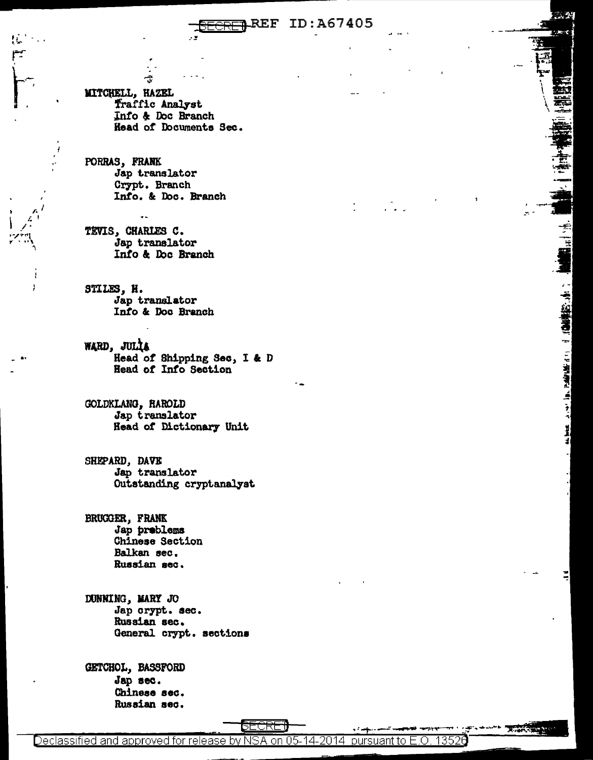#### **REF ID:A67405**

MITCHELL, HAZEL Traffic Analyst Info & Doc Branch Head of Documents Sec.

PORRAS, FRANK Jap translator Crypt. Branch Info. & Doc. Branch

TEVIS, CHARLES C. Jap translator Info & Doc Branch

STILES, H. Jap translator Info & Doc Branch

WARD, JULIA Head of Shipping Sec, I & D Head of Info Section

GOLDKLANG, RAROLD Jap translator Head of Dictionary Unit

SHEPARD, DAVE Jap translator Outstanding cryptanalyst

BRUGGER, FRANK Jap preblems Chinese Section Balkan sec. Russian sec.

DUNNING, MARY JO Jap crypt. sec. Russian sec. General crypt. sections

GETCHOL, BASSFORD Jap sec. Chinese sec. Russian sec.

Declassified and approved for release by NSA on 05-14-2014 pursuant to E.O. 13526

SECRE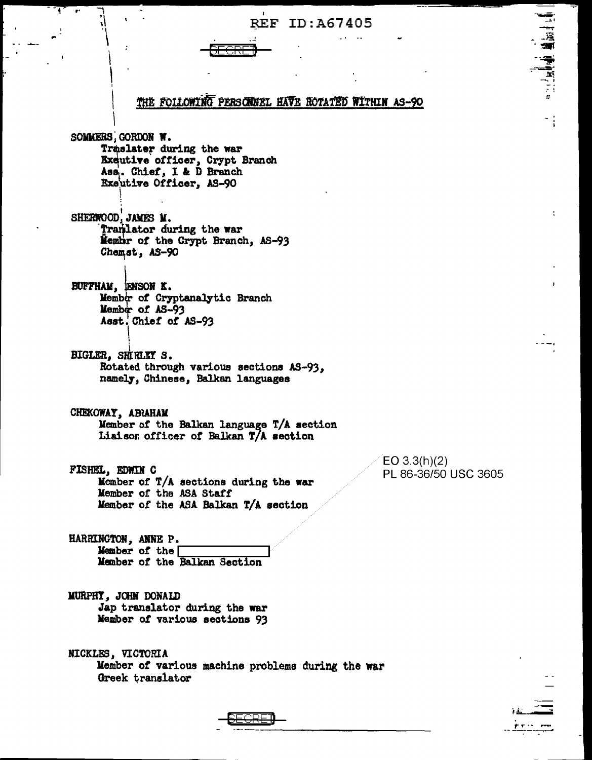## **REF ID:A67405**

THE FOLLOWING PERSONNEL HAVE ROTATED WITHIN AS-90 SOMMERS, GORDON W. Traslater during the war Exeutive officer, Crypt Branch Ass. Chief, I & D Branch Exeutive Officer, AS-90 SHERWOOD, JAMES M. Tranlator during the war Membr of the Crypt Branch, AS-93 Chemst, AS-90 BUFFHAM, ENSON K. Member of Cryptanalytic Branch Member of AS-93 Asst. Chief of AS-93 BIGLER, SHIRLEY S. Rotated through various sections AS-93, namely, Chinese, Balkan languages CHEKOWAY, ABRAHAM Member of the Balkan language T/A section Liaison officer of Balkan T/A section  $EO 3.3(h)(2)$ FISHEL, EDWIN C PL 86-36/50 USC 3605 Member of T/A sections during the war Member of the ASA Staff Member of the ASA Balkan T/A section HARRINGTON, ANNE P. Member of the  $\Gamma$ Member of the Balkan Section MURPHY, JOHN DONALD Jap translator during the war Member of various sections 93 NICKLES, VICTORIA Member of various machine problems during the war



(高層)

וי∭אן <sup>ו</sup>י∴י

Greek translator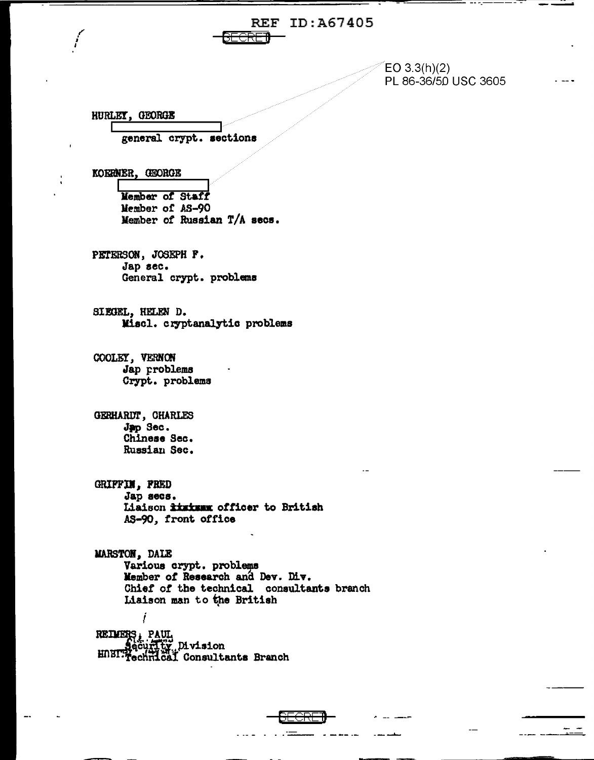# **REF ID: A67405**

 $EO 3.3(h)(2)$ PL 86-36/50 USC 3605

HURLEY, GEORGE

general crypt. sections

KOERNER, GEORGE

Member of Staff Member of AS-90 Member of Russian T/A secs.

PETERSON, JOSEPH F. Jap sec. General crypt. problems

SIEGEL, HELEN D. Miscl. cryptanalytic problems

COOLEY, VERNON Jap problems Crypt. problems

GERHARDT, CHARLES Jap Sec. Chinese Sec. Russian Sec.

GRIFFIM, FRED Jap secs.

Liaison *kinism* officer to British AS-90, front office

MARSTON, DALE Various crypt. problems Member of Research and Dev. Div. Chief of the technical consultants branch Liaison man to the British ĺ

REIMERS, PAUL,<br>Security Division<br>HUBIT Technical Consultants Branch

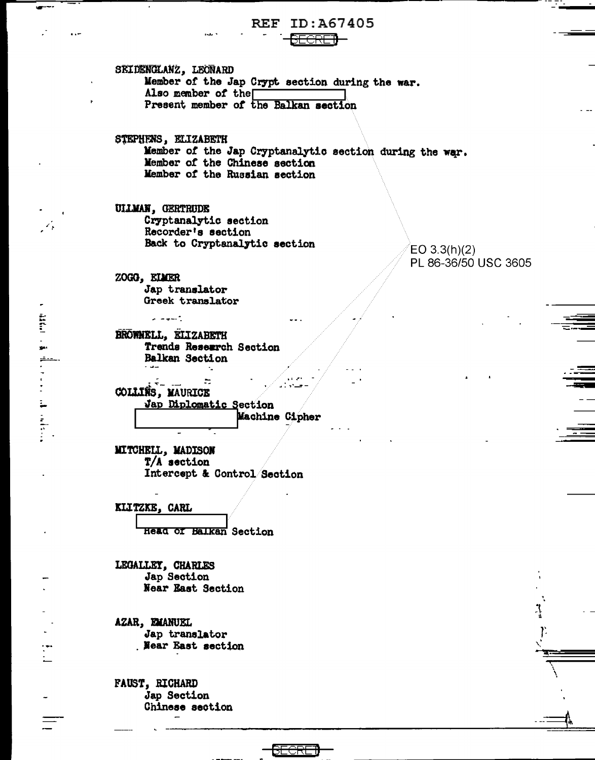### **REF ID: A67405** <del>SECRET</del>I

SEIDENGLANZ, LEONARD Member of the Jap Crypt section during the war. Also member of the Present member of the Balkan section

STEPHENS, ELIZABETH Member of the Jap Cryptanalytic section during the war. Member of the Chinese section Member of the Russian section

UILMAN, GERTRUDE Cryptanalytic section Recorder's section Back to Cryptanalytic section

 $EO 3.3(h)(2)$ PL 86-36/50 USC 3605

ZOGO, ELMER Jap translator Greek translator

 $\omega = \omega$  .

**Extent** 

 $\begin{array}{c}\n\bullet \\
\bullet \\
\bullet\n\end{array}$ 

BROWNELL, ELIZABETH Trends Research Section Balkan Section a salar

 $\overline{\phantom{a}}$  $\frac{1}{2}$ COLLINS, MAURICE Jap Diplomatic Section Machine Cipher

 $\tau_{\rm m}$ 

MITCHELL, MADISON  $T/A$  section Intercept & Control Section

KLITZKE, CARL

**Head of Balkan** Section

LEGALLEY, CHARLES Jap Section **Near East Section** 

AZAR, EMANUEL Jap translator **Near East section** 

**FAUST, RICHARD** Jap Section Chinese section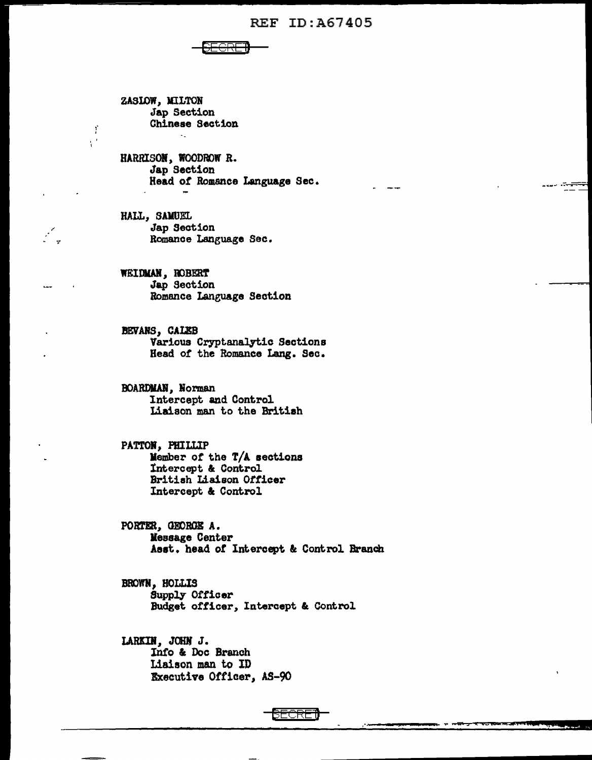#### **REF ID: A67405**

ZASIOW, MILTON Jap Section Chinese Section

Ÿ  $\chi^2$ 

> HARRISON, WOODROW R. Jap Section Head of Romance Language Sec.

HALL, SAMUEL **Jap Section** Romance Language Sec.

WEIDMAN, ROBERT Jap Section Romance Language Section

BEVANS, CALEB Various Cryptanalytic Sections Head of the Romance Lang. Sec.

**BOARDMAN, Norman** Intercept and Control Liaison man to the British

PATTON, PHILLIP Member of the T/A sections Intercept & Control British Liaison Officer Intercept & Control

PORTER, GEORGE A. Message Center Asst. head of Intercept & Control Branch

BROWN, HOLLIS Supply Officer Budget officer, Intercept & Control

LARKIN, JOHN J. Info & Doc Branch Liaison man to ID Executive Officer, AS-90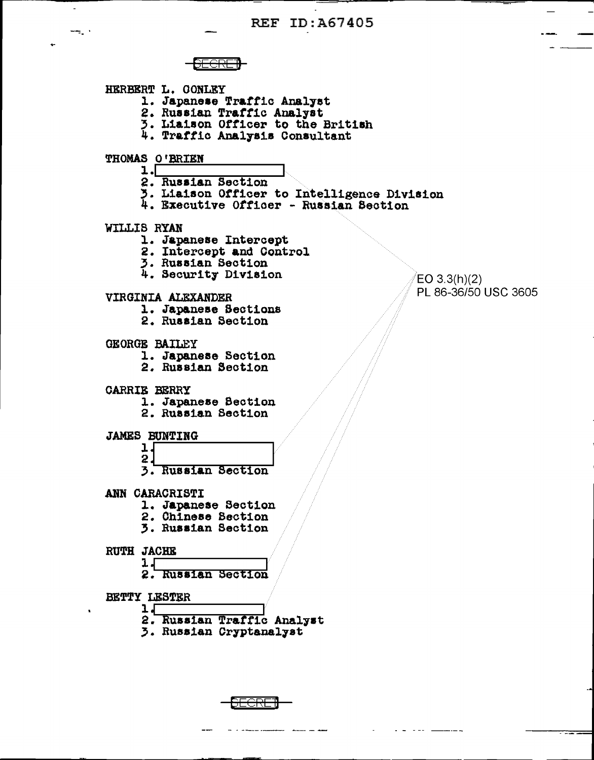÷.  $\overline{\text{cm}}$ HERBERT L. CONLEY 1. Japanese Traffic Analyst 2. Russian Traffic Analyst 3. Liaison Officer to the British 4. Traffic Analysis Consultant THOMAS O'BRIEN  $1.$ 2. Russian Section 3. Liaison Officer to Intelligence Division 4. Executive Officer - Russian Section WILLIS RYAN 1. Japanese Intercept 2. Intercept and Control 3. Russian Section<br>4. Security Division VIRGINIA ALEXANDER 1. Japanese Sections<br>2. Russian Section **GEORGE BAILEY** 1. Japanese Section 2. Russian Section **CARRIE BERRY** 1. Japanese Section 2. Russian Section **JAMES BUNTING** ı,  $\overline{2}$ . 3. Russian Section ANN CARACRISTI 1. Japanese Section 2. Chinese Section **3. Russian Section** RUTH JACHE  $1<sub>1</sub>$ 2. Russian Section BETTY LESTER  $1 -$ 

2. Russian Traffic Analyst

<del>)ECRE1</del>

3. Russian Cryptanalyst

 $EO 3.3(h)(2)$ PL 86-36/50 USC 3605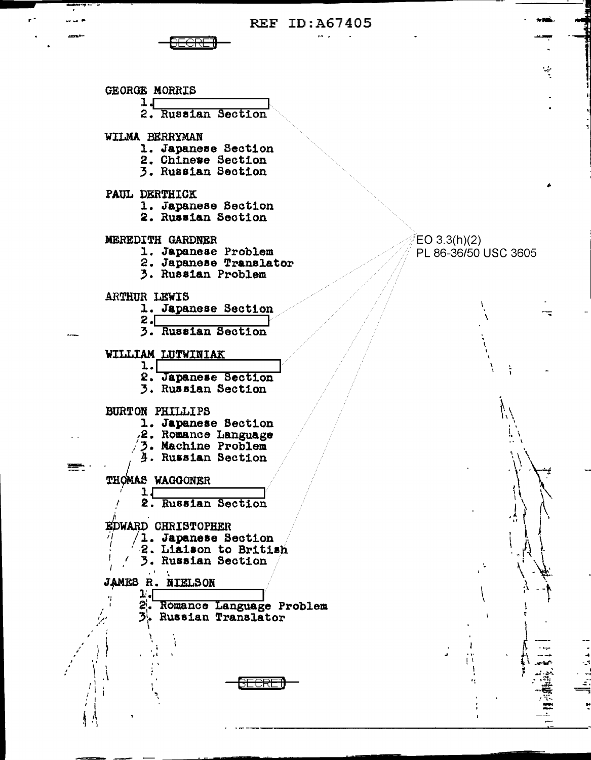**REF ID: A67405** 



GEORGE MORRIS  $1 +$ 2. Russian Section WILMA BERRYMAN 1. Japanese Section 2. Chinewe Section 3. Russian Section PAUL DERTHICK 1. Japanese Section 2. Russian Section MEREDITH GARDNER 1. Japanese Problem 2. Japanese Translator 3. Russian Problem **ARTHUR LEWIS** 1. Japanese Section  $2 \cdot$ 3. Russian Section WILLIAM LUTWINIAK  $\mathbf{1} \cdot \mathbf{L}$ 2. Japanese Section 3. Russian Section BURTON PHILLIPS 1. Japanese Section 2. Romance Language 3. Machine Problem 4. Russian Section THOMAS WAGGONER  $1\square$ 2. Russian Section **EDWARD CHRISTOPHER**  $/1.$  Japanese Section 2. Liaison to British 3. Russian Section JAMES R. NIELSON  $1 2^{\prime}$ . Romance Language Problem 3. Russian Translator <del>ICRE</del>

 $EO 3.3(h)(2)$ PL 86-36/50 USC 3605 ÷,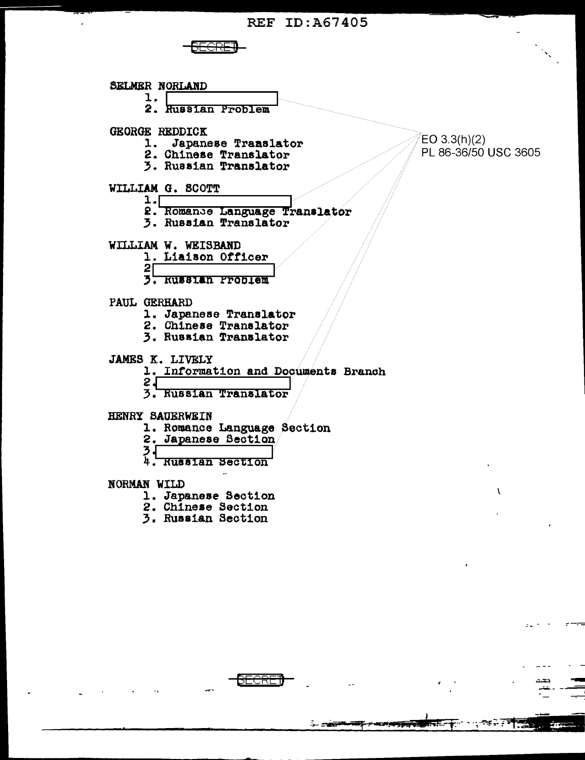SELMER NORLAND 1. 2. Russian Problem GEORGE REDDICK  $EO 3.3(h)(2)$ 1. Japanese Translator PL 86-36/50 USC 3605 2. Chinese Translator 3. Russian Translator WILLIAM G. SCOTT  $1. \Box$ 2. Romance Language Translator **3. Russian Translator** WILLIAM W. WEISBAND 1. Liaison Officer  $2<sub>1</sub>$ 3. Russian Problem PAUL GERHARD 1. Japanese Translator 2. Chinese Translator 3. Russian Translator **JAMES K. LIVELY** 1. Information and Documents Branch  $2\sqrt{ }$ 3. Russian Translator HENRY SAUERWEIN 1. Romance Language Section 2. Japanese Section 3<br>4. Russian Section NORMAN WILD 1. Japanese Section 2. Chinese Section 3. Russian Section

<del>– BECRE</del>

्रस्थ∔ संस्**य**ा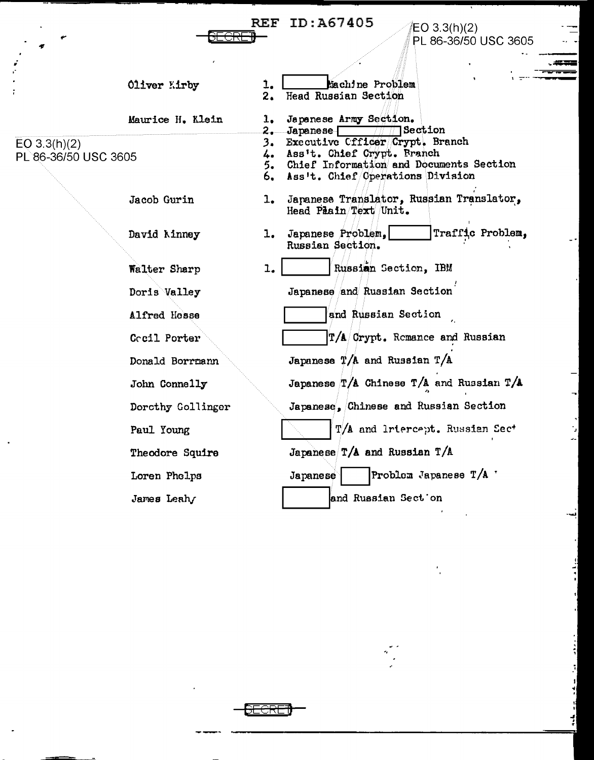# **REF ID: A67405** <del>ECRE¶</del>

/EO 3.3(h)(2)<br>|PL 86-36/50 USC 3605

- 453  $-$ 

.,

|         | Oliver Kirby      | 1.   | Machine Problem                                                          |
|---------|-------------------|------|--------------------------------------------------------------------------|
|         |                   | 2.   | Head Russian Section                                                     |
|         | Maurice H. Klein  | ı.   | Japanese Army Section.                                                   |
|         |                   |      | $\overline{\mathcal{W}}$ $\overline{\mathcal{W}}$ Section<br>2. Japanese |
|         |                   | 3.   | Executive Cfficer Crypt. Branch<br>4. Ass't. Chief Crypt. Branch         |
| SC 3605 |                   |      | 5. Chief Information and Documents Section                               |
|         |                   | 6. . | Ass't. Chief/Operations Division                                         |
|         | Jacob Gurin       | 1.   | Japanese Translator, Russian Translator,<br>Head Paain Text Unit.        |
|         | David Kinney      | 1.   | Traffic Problem,<br>Japanese Problem.<br>Russian Section.                |
|         | Walter Sharp      | 1.   | Russian Section, IBM                                                     |
|         | Doris Valley      |      | Japanese and Russian Section                                             |
|         | Alfred Hosse      |      | and Russian Section                                                      |
|         | Cocil Porter      |      | $\left  \frac{T}{A} \right $ Crypt. Remance and Russian                  |
|         | Donald Borrmann   |      | Japanese $T/A$ and Russian $T/A$                                         |
|         | John Connelly     |      | Japanese $T/A$ Chinese $T/A$ and Russian $T/A$                           |
|         | Dorcthy Gollinger |      | Japanese, Chinese and Russian Section                                    |
|         | Paul Young        |      | T/A and Irtercept. Russian Sect                                          |
|         | Theodore Squire   |      | Japanese $T/A$ and Russian $T/A$                                         |
|         | Loren Phelps      |      | Problem Japanese $T/A$<br>Japanese                                       |
|         | James Leahy       |      | and Russian Section                                                      |

EO 3.3(h)(2)<br>PL 86-36/50 US

 $\ddot{\phantom{a}}$ 

<del>SECRET</del>

 $\frac{1}{2}$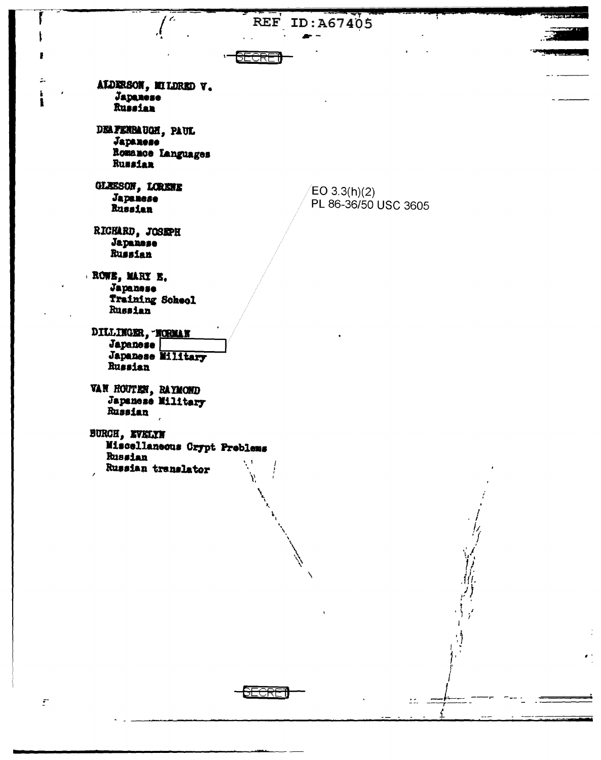